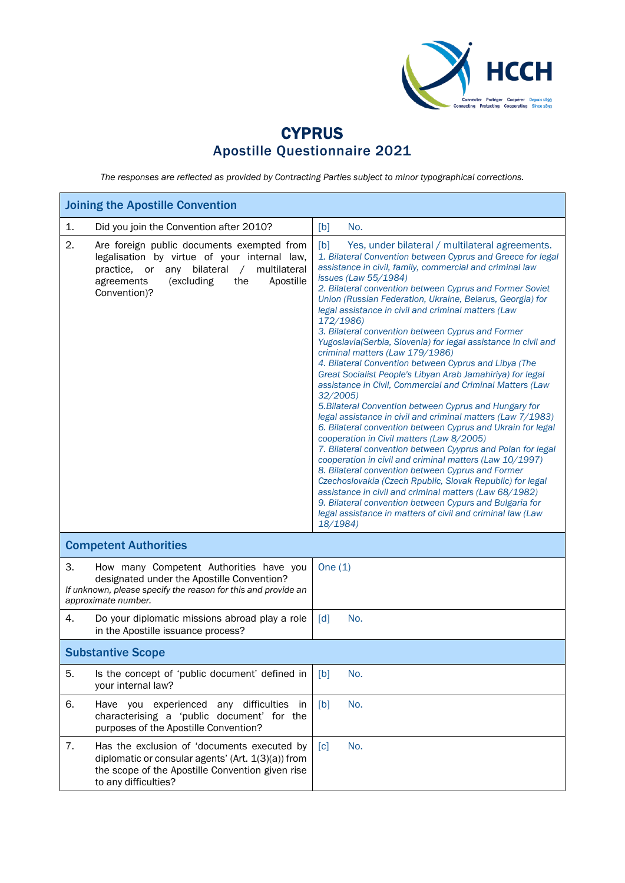

## **CYPRUS** Apostille Questionnaire 2021

*The responses are reflected as provided by Contracting Parties subject to minor typographical corrections.*

| <b>Joining the Apostille Convention</b>                                                                                                                                                                                               |                                                                                                                                                                                                                                                                                                                                                                                                                                                                                                                                                                                                                                                                                                                                                                                                                                                                                                                                                                                                                                                                                                                                                                                                                                                                                                                                                                                                                                                 |  |  |  |
|---------------------------------------------------------------------------------------------------------------------------------------------------------------------------------------------------------------------------------------|-------------------------------------------------------------------------------------------------------------------------------------------------------------------------------------------------------------------------------------------------------------------------------------------------------------------------------------------------------------------------------------------------------------------------------------------------------------------------------------------------------------------------------------------------------------------------------------------------------------------------------------------------------------------------------------------------------------------------------------------------------------------------------------------------------------------------------------------------------------------------------------------------------------------------------------------------------------------------------------------------------------------------------------------------------------------------------------------------------------------------------------------------------------------------------------------------------------------------------------------------------------------------------------------------------------------------------------------------------------------------------------------------------------------------------------------------|--|--|--|
| 1.<br>Did you join the Convention after 2010?                                                                                                                                                                                         | [b]<br>No.                                                                                                                                                                                                                                                                                                                                                                                                                                                                                                                                                                                                                                                                                                                                                                                                                                                                                                                                                                                                                                                                                                                                                                                                                                                                                                                                                                                                                                      |  |  |  |
| 2.<br>Are foreign public documents exempted from<br>legalisation by virtue of your internal law,<br>bilateral<br>multilateral<br>practice,<br>or<br>any<br>$\sqrt{2}$<br>(excluding<br>the<br>Apostille<br>agreements<br>Convention)? | [b]<br>Yes, under bilateral / multilateral agreements.<br>1. Bilateral Convention between Cyprus and Greece for legal<br>assistance in civil, family, commercial and criminal law<br>issues (Law 55/1984)<br>2. Bilateral convention between Cyprus and Former Soviet<br>Union (Russian Federation, Ukraine, Belarus, Georgia) for<br>legal assistance in civil and criminal matters (Law<br>172/1986)<br>3. Bilateral convention between Cyprus and Former<br>Yugoslavia(Serbia, Slovenia) for legal assistance in civil and<br>criminal matters (Law 179/1986)<br>4. Bilateral Convention between Cyprus and Libya (The<br>Great Socialist People's Libyan Arab Jamahiriya) for legal<br>assistance in Civil, Commercial and Criminal Matters (Law<br>32/2005<br>5. Bilateral Convention between Cyprus and Hungary for<br>legal assistance in civil and criminal matters (Law 7/1983)<br>6. Bilateral convention between Cyprus and Ukrain for legal<br>cooperation in Civil matters (Law 8/2005)<br>7. Bilateral convention between Cyyprus and Polan for legal<br>cooperation in civil and criminal matters (Law 10/1997)<br>8. Bilateral convention between Cyprus and Former<br>Czechoslovakia (Czech Rpublic, Slovak Republic) for legal<br>assistance in civil and criminal matters (Law 68/1982)<br>9. Bilateral convention between Cypurs and Bulgaria for<br>legal assistance in matters of civil and criminal law (Law<br>18/1984) |  |  |  |
| <b>Competent Authorities</b>                                                                                                                                                                                                          |                                                                                                                                                                                                                                                                                                                                                                                                                                                                                                                                                                                                                                                                                                                                                                                                                                                                                                                                                                                                                                                                                                                                                                                                                                                                                                                                                                                                                                                 |  |  |  |
| 3.<br>How many Competent Authorities have you<br>designated under the Apostille Convention?<br>If unknown, please specify the reason for this and provide an<br>approximate number.                                                   | One $(1)$                                                                                                                                                                                                                                                                                                                                                                                                                                                                                                                                                                                                                                                                                                                                                                                                                                                                                                                                                                                                                                                                                                                                                                                                                                                                                                                                                                                                                                       |  |  |  |
| 4.<br>Do your diplomatic missions abroad play a role<br>in the Apostille issuance process?                                                                                                                                            | $\lceil d \rceil$<br>No.                                                                                                                                                                                                                                                                                                                                                                                                                                                                                                                                                                                                                                                                                                                                                                                                                                                                                                                                                                                                                                                                                                                                                                                                                                                                                                                                                                                                                        |  |  |  |
| <b>Substantive Scope</b>                                                                                                                                                                                                              |                                                                                                                                                                                                                                                                                                                                                                                                                                                                                                                                                                                                                                                                                                                                                                                                                                                                                                                                                                                                                                                                                                                                                                                                                                                                                                                                                                                                                                                 |  |  |  |
| 5.<br>Is the concept of 'public document' defined in<br>your internal law?                                                                                                                                                            | No.<br>[b]                                                                                                                                                                                                                                                                                                                                                                                                                                                                                                                                                                                                                                                                                                                                                                                                                                                                                                                                                                                                                                                                                                                                                                                                                                                                                                                                                                                                                                      |  |  |  |
| 6.<br>Have you experienced<br>any difficulties<br>characterising a 'public document' for the<br>purposes of the Apostille Convention?                                                                                                 | No.<br>[b]<br><i>in</i>                                                                                                                                                                                                                                                                                                                                                                                                                                                                                                                                                                                                                                                                                                                                                                                                                                                                                                                                                                                                                                                                                                                                                                                                                                                                                                                                                                                                                         |  |  |  |
| 7.<br>Has the exclusion of 'documents executed by<br>diplomatic or consular agents' (Art. 1(3)(a)) from<br>the scope of the Apostille Convention given rise<br>to any difficulties?                                                   | No.<br>$\lceil c \rceil$                                                                                                                                                                                                                                                                                                                                                                                                                                                                                                                                                                                                                                                                                                                                                                                                                                                                                                                                                                                                                                                                                                                                                                                                                                                                                                                                                                                                                        |  |  |  |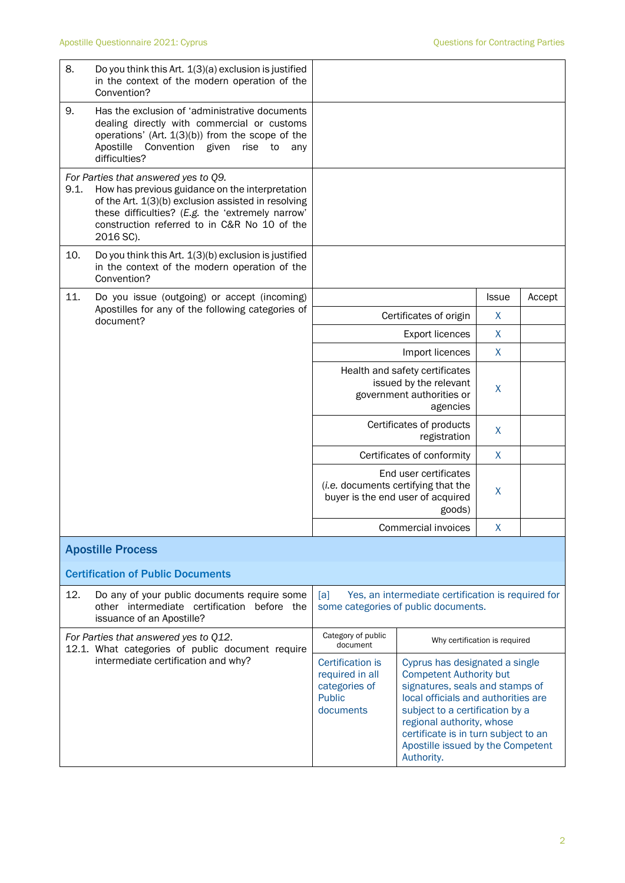| 8.   | Do you think this Art. 1(3)(a) exclusion is justified<br>in the context of the modern operation of the                                                                                                                                                          |                                                                                           |                                                                                                                                                                                                                                                                                                       |                    |        |
|------|-----------------------------------------------------------------------------------------------------------------------------------------------------------------------------------------------------------------------------------------------------------------|-------------------------------------------------------------------------------------------|-------------------------------------------------------------------------------------------------------------------------------------------------------------------------------------------------------------------------------------------------------------------------------------------------------|--------------------|--------|
| 9.   | Convention?<br>Has the exclusion of 'administrative documents<br>dealing directly with commercial or customs<br>operations' (Art. $1(3)(b)$ ) from the scope of the<br>Apostille<br>Convention given<br>rise<br>to<br>any<br>difficulties?                      |                                                                                           |                                                                                                                                                                                                                                                                                                       |                    |        |
| 9.1. | For Parties that answered yes to Q9.<br>How has previous guidance on the interpretation<br>of the Art. 1(3)(b) exclusion assisted in resolving<br>these difficulties? (E.g. the 'extremely narrow'<br>construction referred to in C&R No 10 of the<br>2016 SC). |                                                                                           |                                                                                                                                                                                                                                                                                                       |                    |        |
| 10.  | Do you think this Art. 1(3)(b) exclusion is justified<br>in the context of the modern operation of the<br>Convention?                                                                                                                                           |                                                                                           |                                                                                                                                                                                                                                                                                                       |                    |        |
| 11.  | Do you issue (outgoing) or accept (incoming)<br>Apostilles for any of the following categories of                                                                                                                                                               |                                                                                           |                                                                                                                                                                                                                                                                                                       | <b>Issue</b>       | Accept |
|      | document?                                                                                                                                                                                                                                                       |                                                                                           | Certificates of origin                                                                                                                                                                                                                                                                                | X                  |        |
|      |                                                                                                                                                                                                                                                                 |                                                                                           | <b>Export licences</b>                                                                                                                                                                                                                                                                                | X                  |        |
|      |                                                                                                                                                                                                                                                                 |                                                                                           | Import licences                                                                                                                                                                                                                                                                                       | $\mathsf{X}$       |        |
|      |                                                                                                                                                                                                                                                                 | Health and safety certificates<br>issued by the relevant<br>government authorities or     | X                                                                                                                                                                                                                                                                                                     |                    |        |
|      |                                                                                                                                                                                                                                                                 | Certificates of products<br>$\sf X$<br>registration                                       |                                                                                                                                                                                                                                                                                                       |                    |        |
|      |                                                                                                                                                                                                                                                                 |                                                                                           | Certificates of conformity                                                                                                                                                                                                                                                                            | X                  |        |
|      |                                                                                                                                                                                                                                                                 |                                                                                           | End user certificates<br>(i.e. documents certifying that the<br>buyer is the end user of acquired<br>goods)                                                                                                                                                                                           | X                  |        |
|      |                                                                                                                                                                                                                                                                 | Commercial invoices                                                                       |                                                                                                                                                                                                                                                                                                       | $\pmb{\mathsf{X}}$ |        |
|      | <b>Apostille Process</b>                                                                                                                                                                                                                                        |                                                                                           |                                                                                                                                                                                                                                                                                                       |                    |        |
|      | <b>Certification of Public Documents</b>                                                                                                                                                                                                                        |                                                                                           |                                                                                                                                                                                                                                                                                                       |                    |        |
| 12.  | Do any of your public documents require some<br>other intermediate certification before the<br>issuance of an Apostille?                                                                                                                                        | [a]                                                                                       | Yes, an intermediate certification is required for<br>some categories of public documents.                                                                                                                                                                                                            |                    |        |
|      | For Parties that answered yes to Q12.<br>12.1. What categories of public document require                                                                                                                                                                       | Category of public<br>Why certification is required<br>document                           |                                                                                                                                                                                                                                                                                                       |                    |        |
|      | intermediate certification and why?                                                                                                                                                                                                                             | <b>Certification is</b><br>required in all<br>categories of<br><b>Public</b><br>documents | Cyprus has designated a single<br><b>Competent Authority but</b><br>signatures, seals and stamps of<br>local officials and authorities are<br>subject to a certification by a<br>regional authority, whose<br>certificate is in turn subject to an<br>Apostille issued by the Competent<br>Authority. |                    |        |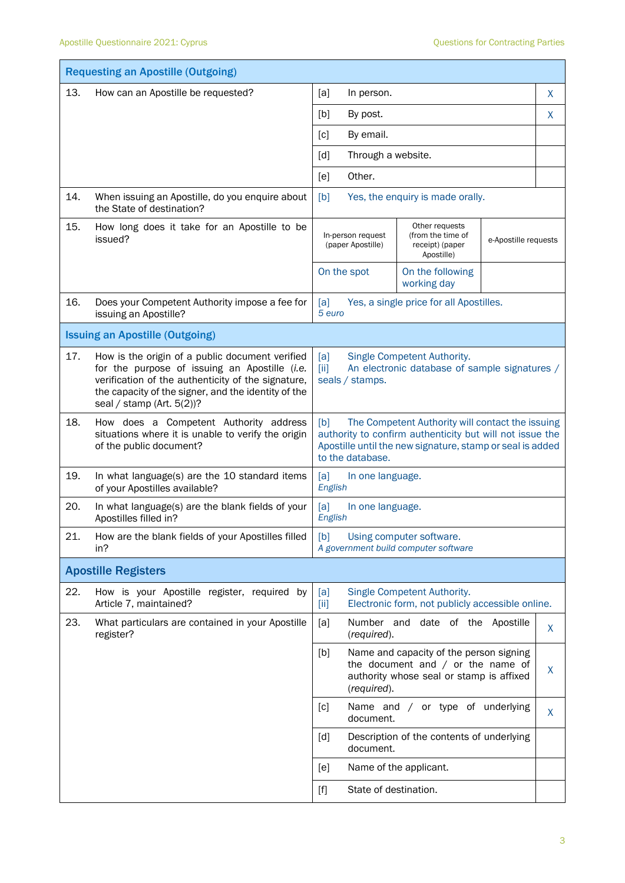|     | <b>Requesting an Apostille (Outgoing)</b>                                                                                                                                                                                                     |                                                                                                                                                                                                      |                                                                                                                            |                      |    |
|-----|-----------------------------------------------------------------------------------------------------------------------------------------------------------------------------------------------------------------------------------------------|------------------------------------------------------------------------------------------------------------------------------------------------------------------------------------------------------|----------------------------------------------------------------------------------------------------------------------------|----------------------|----|
| 13. | How can an Apostille be requested?                                                                                                                                                                                                            | [a]<br>In person.                                                                                                                                                                                    |                                                                                                                            |                      | X  |
|     |                                                                                                                                                                                                                                               | [b]<br>By post.                                                                                                                                                                                      |                                                                                                                            |                      | X  |
|     |                                                                                                                                                                                                                                               | By email.<br>$\lceil c \rceil$                                                                                                                                                                       |                                                                                                                            |                      |    |
|     |                                                                                                                                                                                                                                               | Through a website.<br>[d]                                                                                                                                                                            |                                                                                                                            |                      |    |
|     |                                                                                                                                                                                                                                               | Other.<br>[e]                                                                                                                                                                                        |                                                                                                                            |                      |    |
| 14. | When issuing an Apostille, do you enquire about<br>the State of destination?                                                                                                                                                                  | [b]                                                                                                                                                                                                  | Yes, the enquiry is made orally.                                                                                           |                      |    |
| 15. | How long does it take for an Apostille to be<br>issued?                                                                                                                                                                                       | Other requests<br>(from the time of<br>In-person request<br>(paper Apostille)<br>receipt) (paper<br>Apostille)                                                                                       |                                                                                                                            | e-Apostille requests |    |
|     |                                                                                                                                                                                                                                               | On the spot                                                                                                                                                                                          | On the following<br>working day                                                                                            |                      |    |
| 16. | Does your Competent Authority impose a fee for<br>issuing an Apostille?                                                                                                                                                                       | Yes, a single price for all Apostilles.<br>[a]<br>5 euro                                                                                                                                             |                                                                                                                            |                      |    |
|     | <b>Issuing an Apostille (Outgoing)</b>                                                                                                                                                                                                        |                                                                                                                                                                                                      |                                                                                                                            |                      |    |
| 17. | How is the origin of a public document verified<br>for the purpose of issuing an Apostille (i.e.<br>verification of the authenticity of the signature,<br>the capacity of the signer, and the identity of the<br>seal / stamp (Art. $5(2)$ )? | [a]<br>Single Competent Authority.<br>An electronic database of sample signatures /<br>[ii]<br>seals / stamps.                                                                                       |                                                                                                                            |                      |    |
| 18. | How does a Competent Authority address<br>situations where it is unable to verify the origin<br>of the public document?                                                                                                                       | The Competent Authority will contact the issuing<br>[b]<br>authority to confirm authenticity but will not issue the<br>Apostille until the new signature, stamp or seal is added<br>to the database. |                                                                                                                            |                      |    |
| 19. | In what language(s) are the 10 standard items<br>of your Apostilles available?                                                                                                                                                                | [a]<br>In one language.<br>English                                                                                                                                                                   |                                                                                                                            |                      |    |
| 20. | In what language(s) are the blank fields of your<br>Apostilles filled in?                                                                                                                                                                     | [a]<br>In one language.<br>English                                                                                                                                                                   |                                                                                                                            |                      |    |
| 21. | How are the blank fields of your Apostilles filled<br>in?                                                                                                                                                                                     | [b]<br>Using computer software.<br>A government build computer software                                                                                                                              |                                                                                                                            |                      |    |
|     | <b>Apostille Registers</b>                                                                                                                                                                                                                    |                                                                                                                                                                                                      |                                                                                                                            |                      |    |
| 22. | How is your Apostille register, required by<br>Article 7, maintained?                                                                                                                                                                         | [a]<br>[iii]                                                                                                                                                                                         | Single Competent Authority.<br>Electronic form, not publicly accessible online.                                            |                      |    |
| 23. | What particulars are contained in your Apostille<br>register?                                                                                                                                                                                 | [a]<br>Number and<br>(required).                                                                                                                                                                     | date of the Apostille                                                                                                      |                      | X. |
|     |                                                                                                                                                                                                                                               | [b]<br>(required).                                                                                                                                                                                   | Name and capacity of the person signing<br>the document and $/$ or the name of<br>authority whose seal or stamp is affixed |                      | X  |
|     |                                                                                                                                                                                                                                               | [c]<br>document.                                                                                                                                                                                     | Name and / or type of underlying                                                                                           |                      | X  |
|     |                                                                                                                                                                                                                                               | [d]<br>document.                                                                                                                                                                                     | Description of the contents of underlying                                                                                  |                      |    |
|     |                                                                                                                                                                                                                                               | [e]                                                                                                                                                                                                  | Name of the applicant.                                                                                                     |                      |    |
|     |                                                                                                                                                                                                                                               | State of destination.                                                                                                                                                                                |                                                                                                                            |                      |    |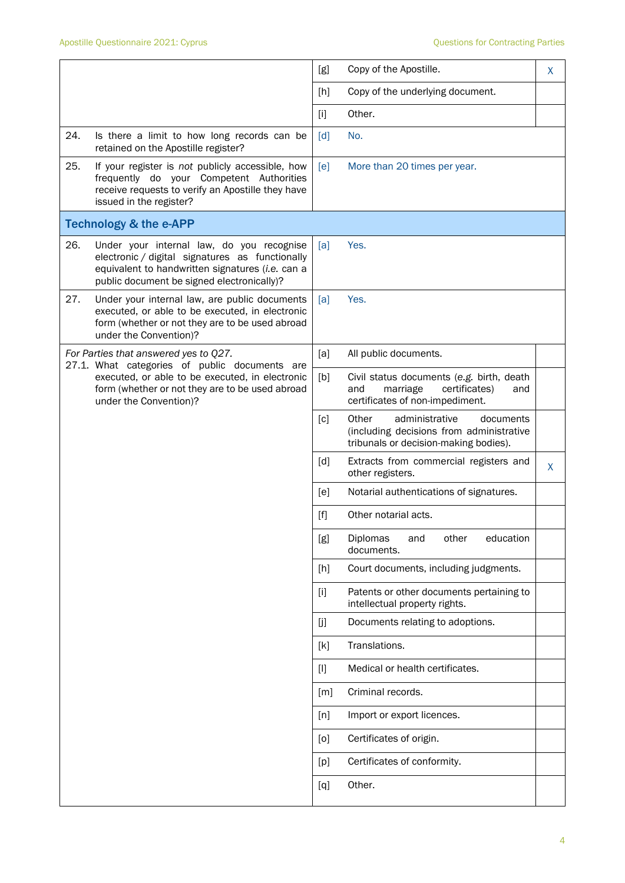|     |                                                                                                                                                                                                | [g]               | Copy of the Apostille.                                                                                                    | X. |
|-----|------------------------------------------------------------------------------------------------------------------------------------------------------------------------------------------------|-------------------|---------------------------------------------------------------------------------------------------------------------------|----|
|     |                                                                                                                                                                                                | [h]               | Copy of the underlying document.                                                                                          |    |
|     |                                                                                                                                                                                                | $[1]$             | Other.                                                                                                                    |    |
| 24. | Is there a limit to how long records can be<br>retained on the Apostille register?                                                                                                             | $\lceil d \rceil$ | No.                                                                                                                       |    |
| 25. | If your register is not publicly accessible, how<br>frequently do your Competent Authorities<br>receive requests to verify an Apostille they have<br>issued in the register?                   | [e]               | More than 20 times per year.                                                                                              |    |
|     | <b>Technology &amp; the e-APP</b>                                                                                                                                                              |                   |                                                                                                                           |    |
| 26. | Under your internal law, do you recognise<br>electronic / digital signatures as functionally<br>equivalent to handwritten signatures (i.e. can a<br>public document be signed electronically)? | [a]               | Yes.                                                                                                                      |    |
| 27. | Under your internal law, are public documents<br>executed, or able to be executed, in electronic<br>form (whether or not they are to be used abroad<br>under the Convention)?                  | [a]               | Yes.                                                                                                                      |    |
|     | For Parties that answered yes to Q27.                                                                                                                                                          | [a]               | All public documents.                                                                                                     |    |
|     | 27.1. What categories of public documents are<br>executed, or able to be executed, in electronic<br>form (whether or not they are to be used abroad<br>under the Convention)?                  | [b]               | Civil status documents (e.g. birth, death<br>certificates)<br>and<br>marriage<br>and<br>certificates of non-impediment.   |    |
|     |                                                                                                                                                                                                | [c]               | Other<br>administrative<br>documents<br>(including decisions from administrative<br>tribunals or decision-making bodies). |    |
|     |                                                                                                                                                                                                | [d]               | Extracts from commercial registers and<br>other registers.                                                                | X. |
|     |                                                                                                                                                                                                | [ <sub>e</sub> ]  | Notarial authentications of signatures.                                                                                   |    |
|     |                                                                                                                                                                                                | [f]               | Other notarial acts.                                                                                                      |    |
|     |                                                                                                                                                                                                | [g]               | Diplomas<br>other<br>education<br>and<br>documents.                                                                       |    |
|     |                                                                                                                                                                                                | [h]               | Court documents, including judgments.                                                                                     |    |
|     |                                                                                                                                                                                                | $[1]$             | Patents or other documents pertaining to<br>intellectual property rights.                                                 |    |
|     |                                                                                                                                                                                                | [j]               | Documents relating to adoptions.                                                                                          |    |
|     |                                                                                                                                                                                                | [k]               | Translations.                                                                                                             |    |
|     |                                                                                                                                                                                                | $[1]$             | Medical or health certificates.                                                                                           |    |
|     |                                                                                                                                                                                                | [m]               | Criminal records.                                                                                                         |    |
|     |                                                                                                                                                                                                | [n]               | Import or export licences.                                                                                                |    |
|     |                                                                                                                                                                                                | [0]               | Certificates of origin.                                                                                                   |    |
|     |                                                                                                                                                                                                | [p]               | Certificates of conformity.                                                                                               |    |
|     |                                                                                                                                                                                                | [q]               | Other.                                                                                                                    |    |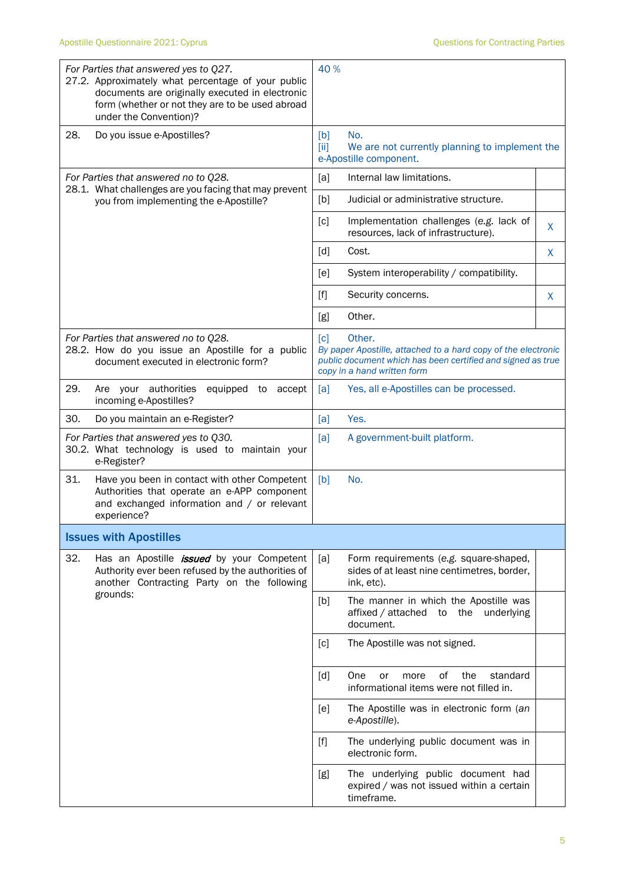|     | For Parties that answered yes to Q27.<br>27.2. Approximately what percentage of your public<br>documents are originally executed in electronic<br>form (whether or not they are to be used abroad<br>under the Convention)? | 40 %              |                                                                                                                                                                       |   |
|-----|-----------------------------------------------------------------------------------------------------------------------------------------------------------------------------------------------------------------------------|-------------------|-----------------------------------------------------------------------------------------------------------------------------------------------------------------------|---|
| 28. | Do you issue e-Apostilles?                                                                                                                                                                                                  | [b]<br>[ii]       | No.<br>We are not currently planning to implement the<br>e-Apostille component.                                                                                       |   |
|     | For Parties that answered no to Q28.                                                                                                                                                                                        | [a]               | Internal law limitations.                                                                                                                                             |   |
|     | 28.1. What challenges are you facing that may prevent<br>you from implementing the e-Apostille?                                                                                                                             | [b]               | Judicial or administrative structure.                                                                                                                                 |   |
|     |                                                                                                                                                                                                                             | [c]               | Implementation challenges (e.g. lack of<br>resources, lack of infrastructure).                                                                                        | X |
|     |                                                                                                                                                                                                                             | $\lceil d \rceil$ | Cost.                                                                                                                                                                 | X |
|     |                                                                                                                                                                                                                             | [e]               | System interoperability / compatibility.                                                                                                                              |   |
|     |                                                                                                                                                                                                                             | $[f]$             | Security concerns.                                                                                                                                                    | X |
|     |                                                                                                                                                                                                                             | [g]               | Other.                                                                                                                                                                |   |
|     | For Parties that answered no to Q28.<br>28.2. How do you issue an Apostille for a public<br>document executed in electronic form?                                                                                           | $\lceil c \rceil$ | Other.<br>By paper Apostille, attached to a hard copy of the electronic<br>public document which has been certified and signed as true<br>copy in a hand written form |   |
| 29. | Are your authorities<br>equipped to<br>accept<br>incoming e-Apostilles?                                                                                                                                                     | [a]               | Yes, all e-Apostilles can be processed.                                                                                                                               |   |
| 30. | Do you maintain an e-Register?                                                                                                                                                                                              | [a]               | Yes.                                                                                                                                                                  |   |
|     | For Parties that answered yes to Q30.<br>30.2. What technology is used to maintain your<br>e-Register?                                                                                                                      | [a]               | A government-built platform.                                                                                                                                          |   |
| 31. | Have you been in contact with other Competent<br>Authorities that operate an e-APP component<br>and exchanged information and / or relevant<br>experience?                                                                  | [b]               | No.                                                                                                                                                                   |   |
|     | <b>Issues with Apostilles</b>                                                                                                                                                                                               |                   |                                                                                                                                                                       |   |
| 32. | Has an Apostille <i>issued</i> by your Competent<br>Authority ever been refused by the authorities of<br>another Contracting Party on the following                                                                         | [a]               | Form requirements (e.g. square-shaped,<br>sides of at least nine centimetres, border,<br>ink, etc).                                                                   |   |
|     | grounds:                                                                                                                                                                                                                    | [b]               | The manner in which the Apostille was<br>the underlying<br>affixed / attached<br>to<br>document.                                                                      |   |
|     |                                                                                                                                                                                                                             | [c]               | The Apostille was not signed.                                                                                                                                         |   |
|     |                                                                                                                                                                                                                             | [d]               | οf<br>One<br>the<br>standard<br>or<br>more<br>informational items were not filled in.                                                                                 |   |
|     |                                                                                                                                                                                                                             | [e]               | The Apostille was in electronic form (an<br>e-Apostille).                                                                                                             |   |
|     |                                                                                                                                                                                                                             | $[f]$             | The underlying public document was in<br>electronic form.                                                                                                             |   |
|     |                                                                                                                                                                                                                             | [g]               | The underlying public document had<br>expired / was not issued within a certain<br>timeframe.                                                                         |   |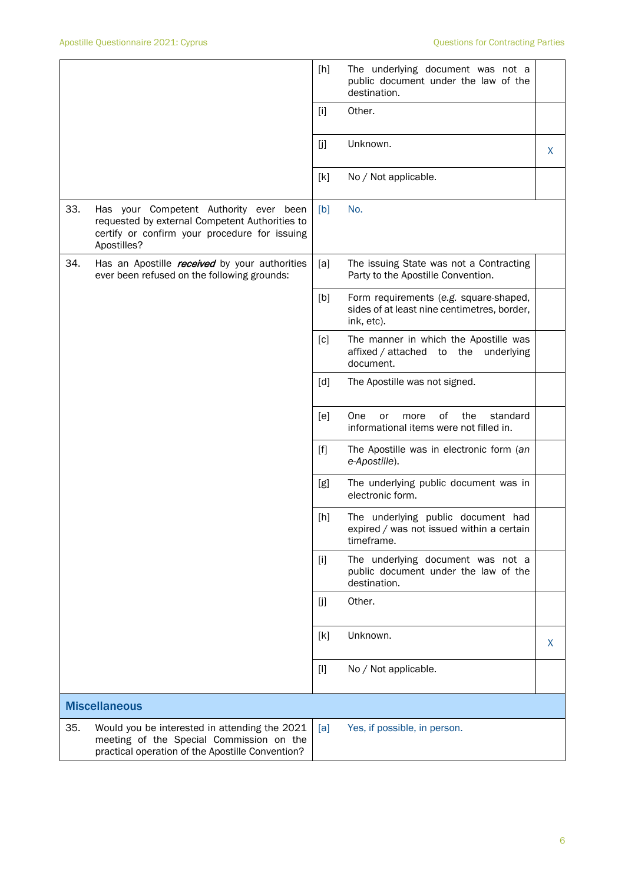|     |                                                                                                                                                          | [h]   | The underlying document was not a<br>public document under the law of the<br>destination.           |   |
|-----|----------------------------------------------------------------------------------------------------------------------------------------------------------|-------|-----------------------------------------------------------------------------------------------------|---|
|     |                                                                                                                                                          | $[1]$ | Other.                                                                                              |   |
|     |                                                                                                                                                          | [j]   | Unknown.                                                                                            | X |
|     |                                                                                                                                                          | [k]   | No / Not applicable.                                                                                |   |
| 33. | Has your Competent Authority ever been<br>requested by external Competent Authorities to<br>certify or confirm your procedure for issuing<br>Apostilles? | [b]   | No.                                                                                                 |   |
| 34. | Has an Apostille <i>received</i> by your authorities<br>ever been refused on the following grounds:                                                      | [a]   | The issuing State was not a Contracting<br>Party to the Apostille Convention.                       |   |
|     |                                                                                                                                                          | [b]   | Form requirements (e.g. square-shaped,<br>sides of at least nine centimetres, border,<br>ink, etc). |   |
|     |                                                                                                                                                          | [c]   | The manner in which the Apostille was<br>affixed / attached to the underlying<br>document.          |   |
|     |                                                                                                                                                          | [d]   | The Apostille was not signed.                                                                       |   |
|     |                                                                                                                                                          | [e]   | One<br>0f<br>the<br>standard<br>or<br>more<br>informational items were not filled in.               |   |
|     |                                                                                                                                                          | $[f]$ | The Apostille was in electronic form (an<br>e-Apostille).                                           |   |
|     |                                                                                                                                                          | [g]   | The underlying public document was in<br>electronic form.                                           |   |
|     |                                                                                                                                                          | [h]   | The underlying public document had<br>expired / was not issued within a certain<br>timeframe.       |   |
|     |                                                                                                                                                          | $[1]$ | The underlying document was not a<br>public document under the law of the<br>destination.           |   |
|     |                                                                                                                                                          | [j]   | Other.                                                                                              |   |
|     |                                                                                                                                                          | [k]   | Unknown.                                                                                            | X |
|     |                                                                                                                                                          | $[1]$ | No / Not applicable.                                                                                |   |
|     | <b>Miscellaneous</b>                                                                                                                                     |       |                                                                                                     |   |
| 35. | Would you be interested in attending the 2021<br>meeting of the Special Commission on the<br>practical operation of the Apostille Convention?            | [a]   | Yes, if possible, in person.                                                                        |   |